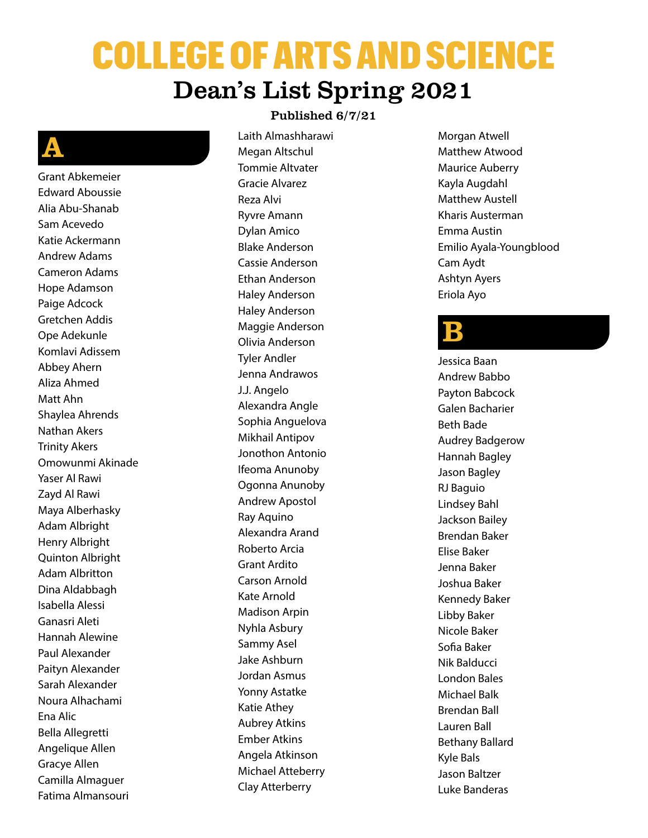# COLLEGE OF ARTS AND SCIENCE Dean's List Spring 2021

### A

Grant Abkemeier Edward Aboussie Alia Abu-Shanab Sam Acevedo Katie Ackermann Andrew Adams Cameron Adams Hope Adamson Paige Adcock Gretchen Addis Ope Adekunle Komlavi Adissem Abbey Ahern Aliza Ahmed Matt Ahn Shaylea Ahrends Nathan Akers Trinity Akers Omowunmi Akinade Yaser Al Rawi Zayd Al Rawi Maya Alberhasky Adam Albright Henry Albright Quinton Albright Adam Albritton Dina Aldabbagh Isabella Alessi Ganasri Aleti Hannah Alewine Paul Alexander Paityn Alexander Sarah Alexander Noura Alhachami Ena Alic Bella Allegretti Angelique Allen Gracye Allen Camilla Almaguer Fatima Almansouri

#### Published 6/7/21

Laith Almashharawi Megan Altschul Tommie Altvater Gracie Alvarez Reza Alvi Ryvre Amann Dylan Amico Blake Anderson Cassie Anderson Ethan Anderson Haley Anderson Haley Anderson Maggie Anderson Olivia Anderson Tyler Andler Jenna Andrawos J.J. Angelo Alexandra Angle Sophia Anguelova Mikhail Antipov Jonothon Antonio Ifeoma Anunoby Ogonna Anunoby Andrew Apostol Ray Aquino Alexandra Arand Roberto Arcia Grant Ardito Carson Arnold Kate Arnold Madison Arpin Nyhla Asbury Sammy Asel Jake Ashburn Jordan Asmus Yonny Astatke Katie Athey Aubrey Atkins Ember Atkins Angela Atkinson Michael Atteberry Clay Atterberry

Morgan Atwell Matthew Atwood Maurice Auberry Kayla Augdahl Matthew Austell Kharis Austerman Emma Austin Emilio Ayala-Youngblood Cam Aydt Ashtyn Ayers Eriola Ayo

#### B

Jessica Baan Andrew Babbo Payton Babcock Galen Bacharier Beth Bade Audrey Badgerow Hannah Bagley Jason Bagley RJ Baguio Lindsey Bahl Jackson Bailey Brendan Baker Elise Baker Jenna Baker Joshua Baker Kennedy Baker Libby Baker Nicole Baker Sofia Baker Nik Balducci London Bales Michael Balk Brendan Ball Lauren Ball Bethany Ballard Kyle Bals Jason Baltzer Luke Banderas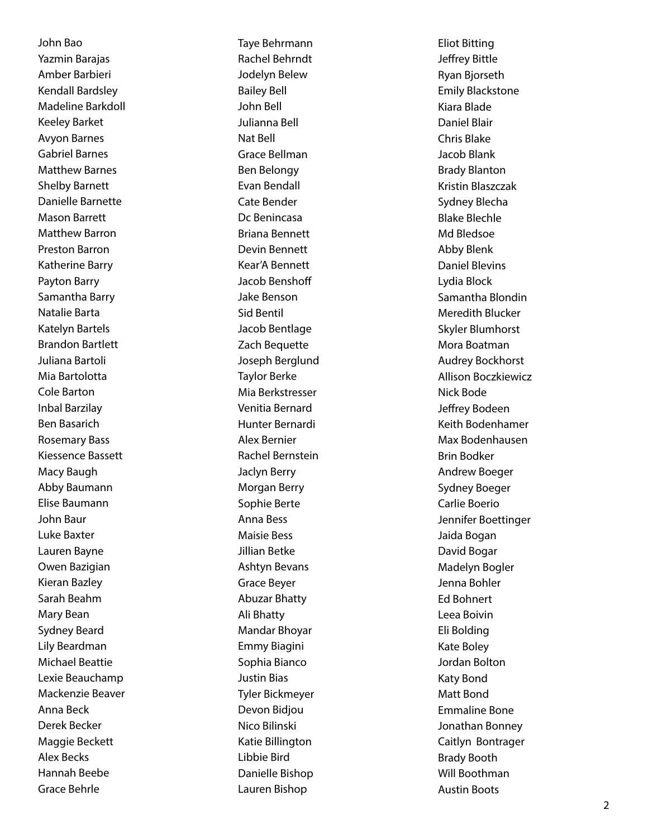John Bao Yazmin Barajas Amber Barbieri Kendall Bardsley Madeline Barkdoll Keeley Barket Avyon Barnes Gabriel Barnes Matthew Barnes Shelby Barnett Danielle Barnette Mason Barrett Matthew Barron Preston Barron Katherine Barry Payton Barry Samantha Barry Natalie Barta Katelyn Bartels Brandon Bartlett Juliana Bartoli Mia Bartolotta Cole Barton Inbal Barzilay Ben Basarich Rosemary Bass Kiessence Bassett Macy Baugh Abby Baumann Elise Baumann John Baur Luke Baxter Lauren Bayne Owen Bazigian Kieran Bazley Sarah Beahm Mary Bean Sydney Beard Lily Beardman Michael Beattie Lexie Beauchamp Mackenzie Beaver Anna Beck Derek Becker Maggie Beckett Alex Becks Hannah Beebe Grace Behrle

Taye Behrmann Rachel Behrndt Jodelyn Belew Bailey Bell John Bell Julianna Bell Nat Bell Grace Bellman Ben Belongy Evan Bendall Cate Bender Dc Benincasa Briana Bennett Devin Bennett Kear'A Bennett Jacob Benshoff Jake Benson Sid Bentil Jacob Bentlage Zach Bequette Joseph Berglund Taylor Berke Mia Berkstresser Venitia Bernard Hunter Bernardi Alex Bernier Rachel Bernstein Jaclyn Berry Morgan Berry Sophie Berte Anna Bess Maisie Bess Jillian Betke Ashtyn Bevans Grace Beyer Abuzar Bhatty Ali Bhatty Mandar Bhoyar Emmy Biagini Sophia Bianco Justin Bias Tyler Bickmeyer Devon Bidjou Nico Bilinski Katie Billington Libbie Bird Danielle Bishop Lauren Bishop

Eliot Bitting Jeffrey Bittle Ryan Bjorseth Emily Blackstone Kiara Blade Daniel Blair Chris Blake Jacob Blank Brady Blanton Kristin Blaszczak Sydney Blecha Blake Blechle Md Bledsoe Abby Blenk Daniel Blevins Lydia Block Samantha Blondin Meredith Blucker Skyler Blumhorst Mora Boatman Audrey Bockhorst Allison Boczkiewicz Nick Bode Jeffrey Bodeen Keith Bodenhamer Max Bodenhausen Brin Bodker Andrew Boeger Sydney Boeger Carlie Boerio Jennifer Boettinger Jaida Bogan David Bogar Madelyn Bogler Jenna Bohler Ed Bohnert Leea Boivin Eli Bolding Kate Boley Jordan Bolton Katy Bond Matt Bond Emmaline Bone Jonathan Bonney Caitlyn Bontrager Brady Booth Will Boothman Austin Boots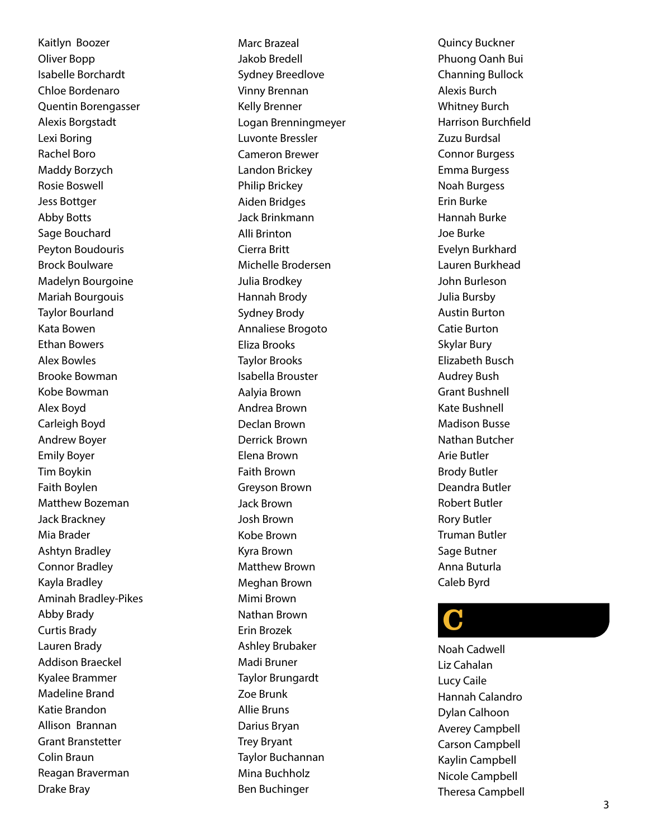Kaitlyn Boozer Oliver Bopp Isabelle Borchardt Chloe Bordenaro Quentin Borengasser Alexis Borgstadt Lexi Boring Rachel Boro Maddy Borzych Rosie Boswell Jess Bottger Abby Botts Sage Bouchard Peyton Boudouris Brock Boulware Madelyn Bourgoine Mariah Bourgouis Taylor Bourland Kata Bowen Ethan Bowers Alex Bowles Brooke Bowman Kobe Bowman Alex Boyd Carleigh Boyd Andrew Boyer Emily Boyer Tim Boykin Faith Boylen Matthew Bozeman Jack Brackney Mia Brader Ashtyn Bradley Connor Bradley Kayla Bradley Aminah Bradley-Pikes Abby Brady Curtis Brady Lauren Brady Addison Braeckel Kyalee Brammer Madeline Brand Katie Brandon Allison Brannan Grant Branstetter Colin Braun Reagan Braverman Drake Bray

Marc Brazeal Jakob Bredell Sydney Breedlove Vinny Brennan Kelly Brenner Logan Brenningmeyer Luvonte Bressler Cameron Brewer Landon Brickey Philip Brickey Aiden Bridges Jack Brinkmann Alli Brinton Cierra Britt Michelle Brodersen Julia Brodkey Hannah Brody Sydney Brody Annaliese Brogoto Eliza Brooks Taylor Brooks Isabella Brouster Aalyia Brown Andrea Brown Declan Brown Derrick Brown Elena Brown Faith Brown Greyson Brown Jack Brown Josh Brown Kobe Brown Kyra Brown Matthew Brown Meghan Brown Mimi Brown Nathan Brown Erin Brozek Ashley Brubaker Madi Bruner Taylor Brungardt Zoe Brunk Allie Bruns Darius Bryan Trey Bryant Taylor Buchannan Mina Buchholz Ben Buchinger

Quincy Buckner Phuong Oanh Bui Channing Bullock Alexis Burch Whitney Burch Harrison Burchfield Zuzu Burdsal Connor Burgess Emma Burgess Noah Burgess Erin Burke Hannah Burke Joe Burke Evelyn Burkhard Lauren Burkhead John Burleson Julia Bursby Austin Burton Catie Burton Skylar Bury Elizabeth Busch Audrey Bush Grant Bushnell Kate Bushnell Madison Busse Nathan Butcher Arie Butler Brody Butler Deandra Butler Robert Butler Rory Butler Truman Butler Sage Butner Anna Buturla Caleb Byrd

### C

Noah Cadwell Liz Cahalan Lucy Caile Hannah Calandro Dylan Calhoon Averey Campbell Carson Campbell Kaylin Campbell Nicole Campbell Theresa Campbell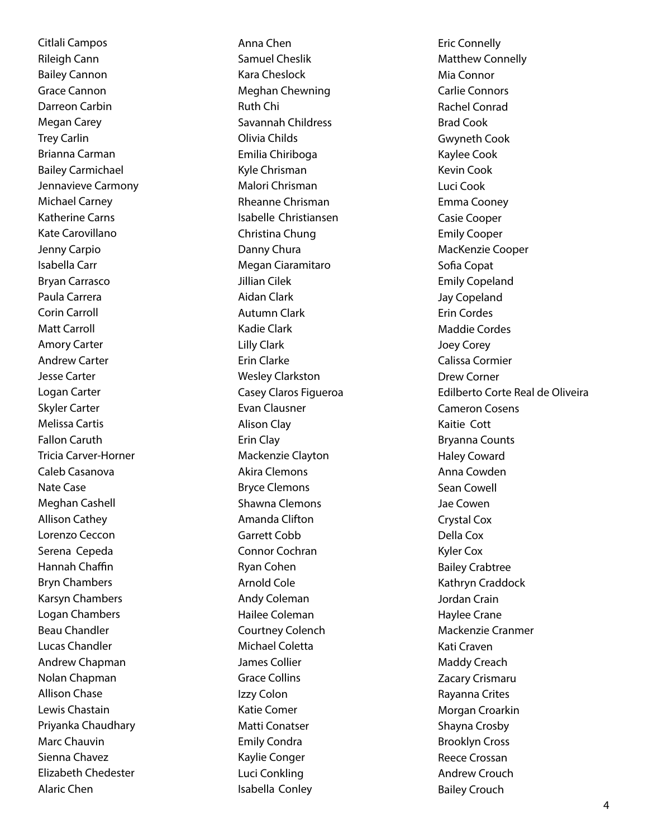Citlali Campos Rileigh Cann Bailey Cannon Grace Cannon Darreon Carbin Megan Carey Trey Carlin Brianna Carman Bailey Carmichael Jennavieve Carmony Michael Carney Katherine Carns Kate Carovillano Jenny Carpio Isabella Carr Bryan Carrasco Paula Carrera Corin Carroll Matt Carroll Amory Carter Andrew Carter Jesse Carter Logan Carter Skyler Carter Melissa Cartis Fallon Caruth Tricia Carver-Horner Caleb Casanova Nate Case Meghan Cashell Allison Cathey Lorenzo Ceccon Serena Cepeda Hannah Chaffin Bryn Chambers Karsyn Chambers Logan Chambers Beau Chandler Lucas Chandler Andrew Chapman Nolan Chapman Allison Chase Lewis Chastain Priyanka Chaudhary Marc Chauvin Sienna Chavez Elizabeth Chedester Alaric Chen

Anna Chen Samuel Cheslik Kara Cheslock Meghan Chewning Ruth Chi Savannah Childress Olivia Childs Emilia Chiriboga Kyle Chrisman Malori Chrisman Rheanne Chrisman Isabelle Christiansen Christina Chung Danny Chura Megan Ciaramitaro Jillian Cilek Aidan Clark Autumn Clark Kadie Clark Lilly Clark Erin Clarke Wesley Clarkston Casey Claros Figueroa Evan Clausner Alison Clay Erin Clay Mackenzie Clayton Akira Clemons Bryce Clemons Shawna Clemons Amanda Clifton Garrett Cobb Connor Cochran Ryan Cohen Arnold Cole Andy Coleman Hailee Coleman Courtney Colench Michael Coletta James Collier Grace Collins Izzy Colon Katie Comer Matti Conatser Emily Condra Kaylie Conger Luci Conkling Isabella Conley

Eric Connelly Matthew Connelly Mia Connor Carlie Connors Rachel Conrad Brad Cook Gwyneth Cook Kaylee Cook Kevin Cook Luci Cook Emma Cooney Casie Cooper Emily Cooper MacKenzie Cooper Sofia Copat Emily Copeland Jay Copeland Erin Cordes Maddie Cordes Joey Corey Calissa Cormier Drew Corner Edilberto Corte Real de Oliveira Cameron Cosens Kaitie Cott Bryanna Counts Haley Coward Anna Cowden Sean Cowell Jae Cowen Crystal Cox Della Cox Kyler Cox Bailey Crabtree Kathryn Craddock Jordan Crain Haylee Crane Mackenzie Cranmer Kati Craven Maddy Creach Zacary Crismaru Rayanna Crites Morgan Croarkin Shayna Crosby Brooklyn Cross Reece Crossan Andrew Crouch Bailey Crouch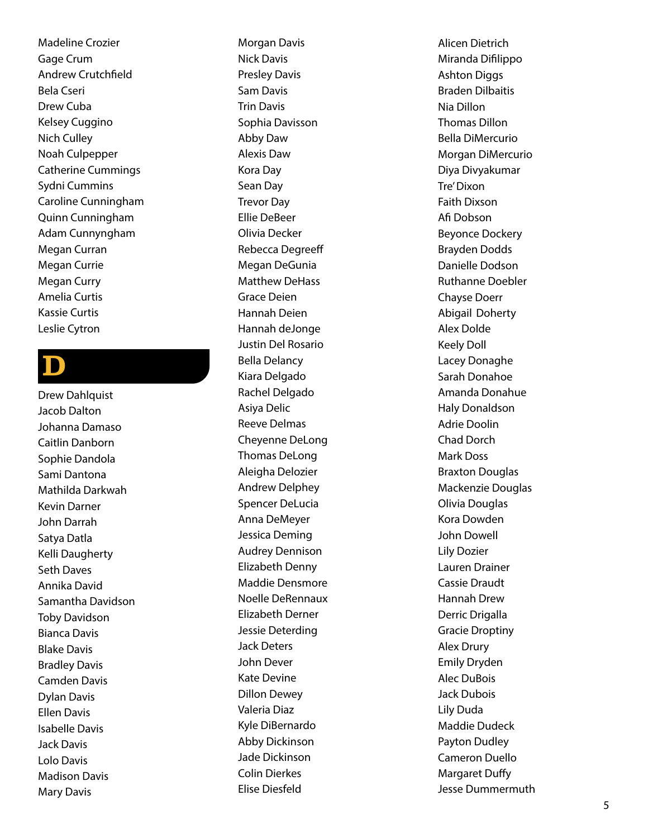Madeline Crozier Gage Crum Andrew Crutchfield Bela Cseri Drew Cuba Kelsey Cuggino Nich Culley Noah Culpepper Catherine Cummings Sydni Cummins Caroline Cunningham Quinn Cunningham Adam Cunnyngham Megan Curran Megan Currie Megan Curry Amelia Curtis Kassie Curtis Leslie Cytron

### $\mathbf D$

Drew Dahlquist Jacob Dalton Johanna Damaso Caitlin Danborn Sophie Dandola Sami Dantona Mathilda Darkwah Kevin Darner John Darrah Satya Datla Kelli Daugherty Seth Daves Annika David Samantha Davidson Toby Davidson Bianca Davis Blake Davis Bradley Davis Camden Davis Dylan Davis Ellen Davis Isabelle Davis Jack Davis Lolo Davis Madison Davis Mary Davis

Morgan Davis Nick Davis Presley Davis Sam Davis Trin Davis Sophia Davisson Abby Daw Alexis Daw Kora Day Sean Day Trevor Day Ellie DeBeer Olivia Decker Rebecca Degreeff Megan DeGunia Matthew DeHass Grace Deien Hannah Deien Hannah deJonge Justin Del Rosario Bella Delancy Kiara Delgado Rachel Delgado Asiya Delic Reeve Delmas Cheyenne DeLong Thomas DeLong Aleigha Delozier Andrew Delphey Spencer DeLucia Anna DeMeyer Jessica Deming Audrey Dennison Elizabeth Denny Maddie Densmore Noelle DeRennaux Elizabeth Derner Jessie Deterding Jack Deters John Dever Kate Devine Dillon Dewey Valeria Diaz Kyle DiBernardo Abby Dickinson Jade Dickinson Colin Dierkes Elise Diesfeld

Alicen Dietrich Miranda Difilippo Ashton Diggs Braden Dilbaitis Nia Dillon Thomas Dillon Bella DiMercurio Morgan DiMercurio Diya Divyakumar Tre' Dixon Faith Dixson Afi Dobson Beyonce Dockery Brayden Dodds Danielle Dodson Ruthanne Doebler Chayse Doerr Abigail Doherty Alex Dolde Keely Doll Lacey Donaghe Sarah Donahoe Amanda Donahue Haly Donaldson Adrie Doolin Chad Dorch Mark Doss Braxton Douglas Mackenzie Douglas Olivia Douglas Kora Dowden John Dowell Lily Dozier Lauren Drainer Cassie Draudt Hannah Drew Derric Drigalla Gracie Droptiny Alex Drury Emily Dryden Alec DuBois Jack Dubois Lily Duda Maddie Dudeck Payton Dudley Cameron Duello Margaret Duffy Jesse Dummermuth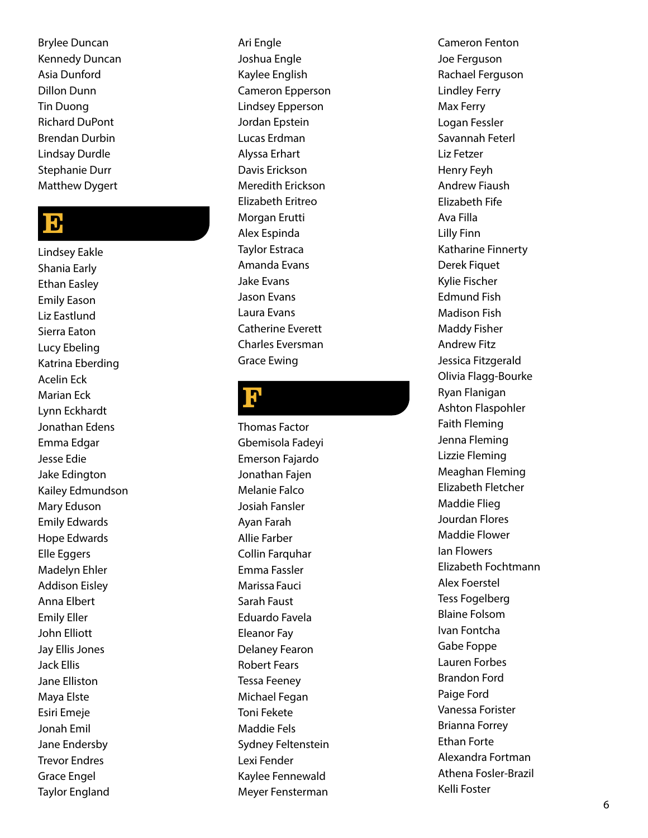Brylee Duncan Kennedy Duncan Asia Dunford Dillon Dunn Tin Duong Richard DuPont Brendan Durbin Lindsay Durdle Stephanie Durr Matthew Dygert

#### E

Lindsey Eakle Shania Early Ethan Easley Emily Eason Liz Eastlund Sierra Eaton Lucy Ebeling Katrina Eberding Acelin Eck Marian Eck Lynn Eckhardt Jonathan Edens Emma Edgar Jesse Edie Jake Edington Kailey Edmundson Mary Eduson Emily Edwards Hope Edwards Elle Eggers Madelyn Ehler Addison Eisley Anna Elbert Emily Eller John Elliott Jay Ellis Jones Jack Ellis Jane Elliston Maya Elste Esiri Emeje Jonah Emil Jane Endersby Trevor Endres Grace Engel Taylor England

Ari Engle Joshua Engle Kaylee English Cameron Epperson Lindsey Epperson Jordan Epstein Lucas Erdman Alyssa Erhart Davis Erickson Meredith Erickson Elizabeth Eritreo Morgan Erutti Alex Espinda Taylor Estraca Amanda Evans Jake Evans Jason Evans Laura Evans Catherine Everett Charles Eversman Grace Ewing

### <mark>ין</mark>

Thomas Factor Gbemisola Fadeyi Emerson Fajardo Jonathan Fajen Melanie Falco Josiah Fansler Ayan Farah Allie Farber Collin Farquhar Emma Fassler Marissa Fauci Sarah Faust Eduardo Favela Eleanor Fay Delaney Fearon Robert Fears Tessa Feeney Michael Fegan Toni Fekete Maddie Fels Sydney Feltenstein Lexi Fender Kaylee Fennewald Meyer Fensterman Cameron Fenton Joe Ferguson Rachael Ferguson Lindley Ferry Max Ferry Logan Fessler Savannah Feterl Liz Fetzer Henry Feyh Andrew Fiaush Elizabeth Fife Ava Filla Lilly Finn Katharine Finnerty Derek Fiquet Kylie Fischer Edmund Fish Madison Fish Maddy Fisher Andrew Fitz Jessica Fitzgerald Olivia Flagg-Bourke Ryan Flanigan Ashton Flaspohler Faith Fleming Jenna Fleming Lizzie Fleming Meaghan Fleming Elizabeth Fletcher Maddie Flieg Jourdan Flores Maddie Flower Ian Flowers Elizabeth Fochtmann Alex Foerstel Tess Fogelberg Blaine Folsom Ivan Fontcha Gabe Foppe Lauren Forbes Brandon Ford Paige Ford Vanessa Forister Brianna Forrey Ethan Forte Alexandra Fortman Athena Fosler-Brazil Kelli Foster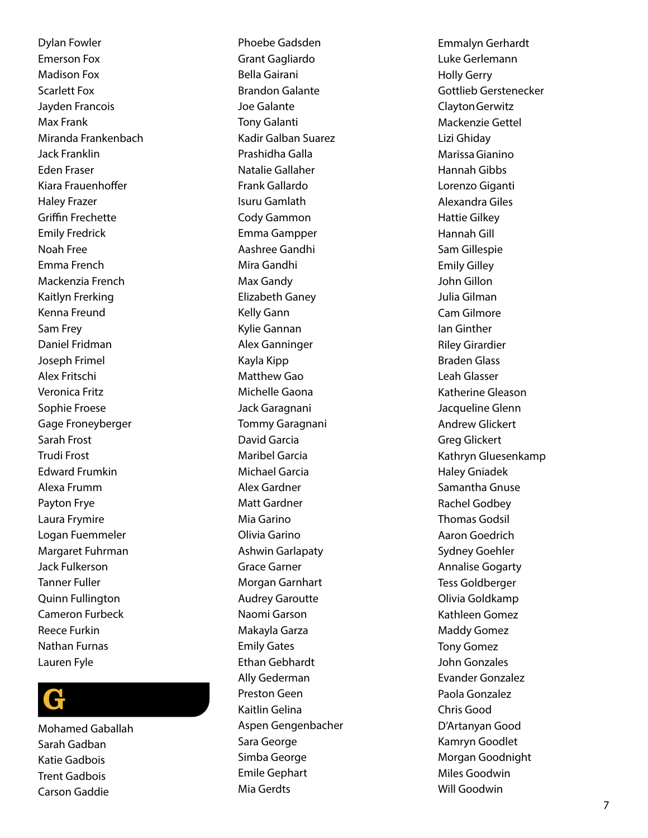Dylan Fowler Emerson Fox Madison Fox Scarlett Fox Jayden Francois Max Frank Miranda Frankenbach Jack Franklin Eden Fraser Kiara Frauenhoffer Haley Frazer Griffin Frechette Emily Fredrick Noah Free Emma French Mackenzia French Kaitlyn Frerking Kenna Freund Sam Frey Daniel Fridman Joseph Frimel Alex Fritschi Veronica Fritz Sophie Froese Gage Froneyberger Sarah Frost Trudi Frost Edward Frumkin Alexa Frumm Payton Frye Laura Frymire Logan Fuemmeler Margaret Fuhrman Jack Fulkerson Tanner Fuller Quinn Fullington Cameron Furbeck Reece Furkin Nathan Furnas Lauren Fyle

### G

Mohamed Gaballah Sarah Gadban Katie Gadbois Trent Gadbois Carson Gaddie

Phoebe Gadsden Grant Gagliardo Bella Gairani Brandon Galante Joe Galante Tony Galanti Kadir Galban Suarez Prashidha Galla Natalie Gallaher Frank Gallardo Isuru Gamlath Cody Gammon Emma Gampper Aashree Gandhi Mira Gandhi Max Gandy Elizabeth Ganey Kelly Gann Kylie Gannan Alex Ganninger Kayla Kipp Matthew Gao Michelle Gaona Jack Garagnani Tommy Garagnani David Garcia Maribel Garcia Michael Garcia Alex Gardner Matt Gardner Mia Garino Olivia Garino Ashwin Garlapaty Grace Garner Morgan Garnhart Audrey Garoutte Naomi Garson Makayla Garza Emily Gates Ethan Gebhardt Ally Gederman Preston Geen Kaitlin Gelina Aspen Gengenbacher Sara George Simba George Emile Gephart Mia Gerdts

Emmalyn Gerhardt Luke Gerlemann Holly Gerry Gottlieb Gerstenecker ClaytonGerwitz Mackenzie Gettel Lizi Ghiday MarissaGianino Hannah Gibbs Lorenzo Giganti Alexandra Giles Hattie Gilkey Hannah Gill Sam Gillespie Emily Gilley John Gillon Julia Gilman Cam Gilmore Ian Ginther Riley Girardier Braden Glass Leah Glasser Katherine Gleason Jacqueline Glenn Andrew Glickert Greg Glickert Kathryn Gluesenkamp Haley Gniadek Samantha Gnuse Rachel Godbey Thomas Godsil Aaron Goedrich Sydney Goehler Annalise Gogarty Tess Goldberger Olivia Goldkamp Kathleen Gomez Maddy Gomez Tony Gomez John Gonzales Evander Gonzalez Paola Gonzalez Chris Good D'Artanyan Good Kamryn Goodlet Morgan Goodnight Miles Goodwin Will Goodwin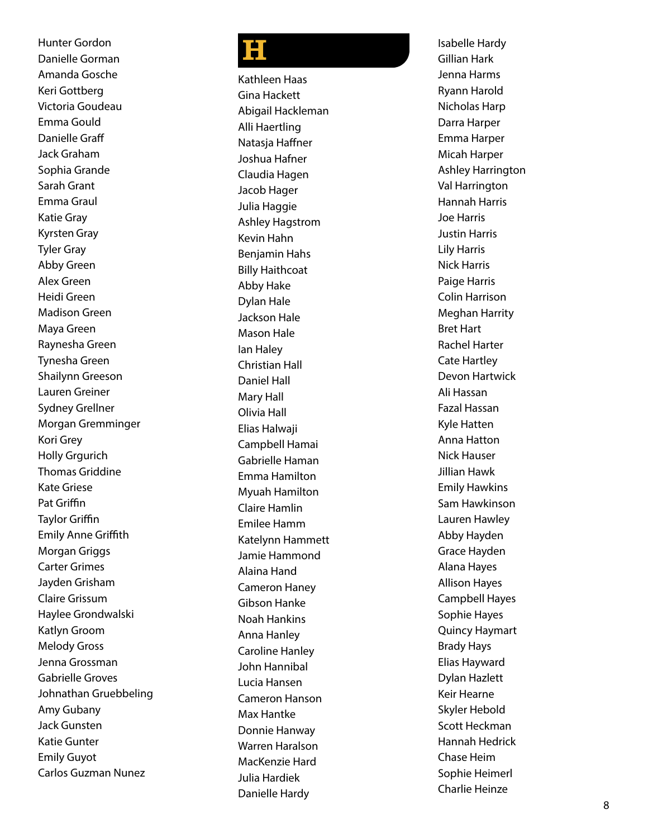Hunter Gordon Danielle Gorman Amanda Gosche Keri Gottberg Victoria Goudeau Emma Gould Danielle Graff Jack Graham Sophia Grande Sarah Grant Emma Graul Katie Gray Kyrsten Gray Tyler Gray Abby Green Alex Green Heidi Green Madison Green Maya Green Raynesha Green Tynesha Green Shailynn Greeson Lauren Greiner Sydney Grellner Morgan Gremminger Kori Grey **Holly Graurich** Thomas Griddine Kate Griese Pat Griffin Taylor Griffin Emily Anne Griffith Morgan Griggs Carter Grimes Jayden Grisham Claire Grissum Haylee Grondwalski Katlyn Groom Melody Gross Jenna Grossman Gabrielle Groves Johnathan Gruebbeling Amy Gubany Jack Gunsten Katie Gunter Emily Guyot Carlos Guzman Nunez

### H

Kathleen Haas Gina Hackett Abigail Hackleman Alli Haertling Natasja Haffner Joshua Hafner Claudia Hagen Jacob Hager Julia Haggie Ashley Hagstrom Kevin Hahn Benjamin Hahs Billy Haithcoat Abby Hake Dylan Hale Jackson Hale Mason Hale Ian Haley Christian Hall Daniel Hall Mary Hall Olivia Hall Elias Halwaji Campbell Hamai Gabrielle Haman Emma Hamilton Myuah Hamilton Claire Hamlin Emilee Hamm Katelynn Hammett Jamie Hammond Alaina Hand Cameron Haney Gibson Hanke Noah Hankins Anna Hanley Caroline Hanley John Hannibal Lucia Hansen Cameron Hanson Max Hantke Donnie Hanway Warren Haralson MacKenzie Hard Julia Hardiek Danielle Hardy

Isabelle Hardy Gillian Hark Jenna Harms Ryann Harold Nicholas Harp Darra Harper Emma Harper Micah Harper Ashley Harrington Val Harrington Hannah Harris Joe Harris Justin Harris Lily Harris Nick Harris Paige Harris Colin Harrison Meghan Harrity Bret Hart Rachel Harter Cate Hartley Devon Hartwick Ali Hassan Fazal Hassan Kyle Hatten Anna Hatton Nick Hauser Jillian Hawk Emily Hawkins Sam Hawkinson Lauren Hawley Abby Hayden Grace Hayden Alana Hayes Allison Hayes Campbell Hayes Sophie Hayes Quincy Haymart Brady Hays Elias Hayward Dylan Hazlett Keir Hearne Skyler Hebold Scott Heckman Hannah Hedrick Chase Heim Sophie Heimerl Charlie Heinze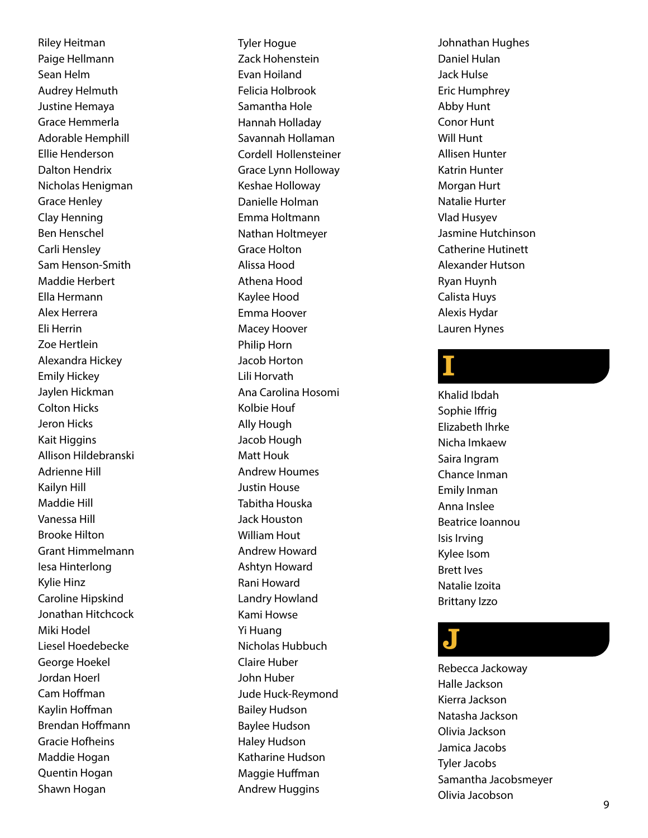Riley Heitman Paige Hellmann Sean Helm Audrey Helmuth Justine Hemaya Grace Hemmerla Adorable Hemphill Ellie Henderson Dalton Hendrix Nicholas Henigman Grace Henley Clay Henning Ben Henschel Carli Hensley Sam Henson-Smith Maddie Herbert Ella Hermann Alex Herrera Eli Herrin Zoe Hertlein Alexandra Hickey Emily Hickey Jaylen Hickman Colton Hicks Jeron Hicks Kait Higgins Allison Hildebranski Adrienne Hill Kailyn Hill Maddie Hill Vanessa Hill Brooke Hilton Grant Himmelmann Iesa Hinterlong Kylie Hinz Caroline Hipskind Jonathan Hitchcock Miki Hodel Liesel Hoedebecke George Hoekel Jordan Hoerl Cam Hoffman Kaylin Hoffman Brendan Hoffmann Gracie Hofheins Maddie Hogan Quentin Hogan Shawn Hogan

Tyler Hogue Zack Hohenstein Evan Hoiland Felicia Holbrook Samantha Hole Hannah Holladay Savannah Hollaman Cordell Hollensteiner Grace Lynn Holloway Keshae Holloway Danielle Holman Emma Holtmann Nathan Holtmeyer Grace Holton Alissa Hood Athena Hood Kaylee Hood Emma Hoover Macey Hoover Philip Horn Jacob Horton Lili Horvath Ana Carolina Hosomi Kolbie Houf Ally Hough Jacob Hough Matt Houk Andrew Houmes Justin House Tabitha Houska Jack Houston William Hout Andrew Howard Ashtyn Howard Rani Howard Landry Howland Kami Howse Yi Huang Nicholas Hubbuch Claire Huber John Huber Jude Huck-Reymond Bailey Hudson Baylee Hudson Haley Hudson Katharine Hudson Maggie Huffman Andrew Huggins

Johnathan Hughes Daniel Hulan Jack Hulse Eric Humphrey Abby Hunt Conor Hunt Will Hunt Allisen Hunter Katrin Hunter Morgan Hurt Natalie Hurter Vlad Husyev Jasmine Hutchinson Catherine Hutinett Alexander Hutson Ryan Huynh Calista Huys Alexis Hydar Lauren Hynes

### I

Khalid Ibdah Sophie Iffrig Elizabeth Ihrke Nicha Imkaew Saira Ingram Chance Inman Emily Inman Anna Inslee Beatrice Ioannou Isis Irving Kylee Isom Brett Ives Natalie Izoita Brittany Izzo

### J

Rebecca Jackoway Halle Jackson Kierra Jackson Natasha Jackson Olivia Jackson Jamica Jacobs Tyler Jacobs Samantha Jacobsmeyer Olivia Jacobson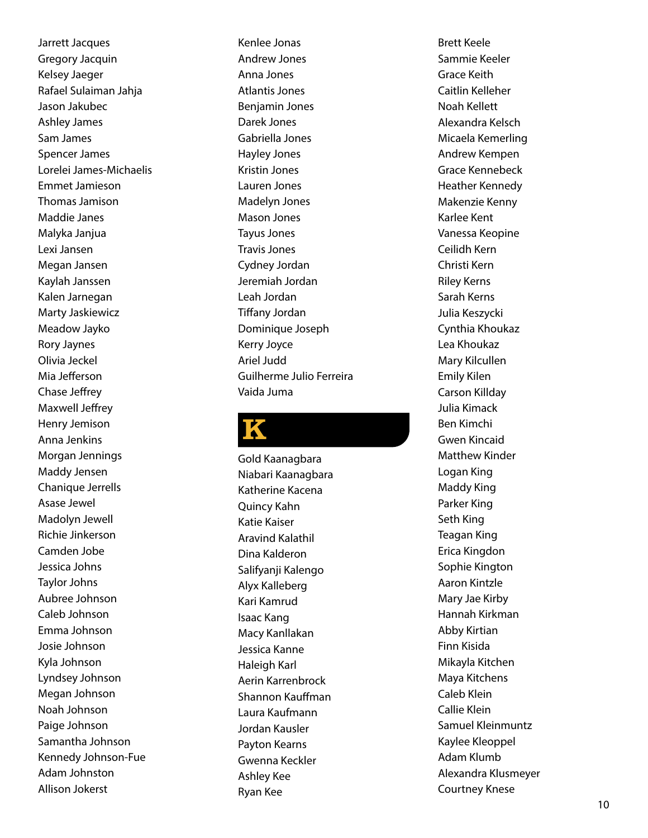Jarrett Jacques Gregory Jacquin Kelsey Jaeger Rafael Sulaiman Jahja Jason Jakubec Ashley James Sam James Spencer James Lorelei James-Michaelis Emmet Jamieson Thomas Jamison Maddie Janes Malyka Janjua Lexi Jansen Megan Jansen Kaylah Janssen Kalen Jarnegan Marty Jaskiewicz Meadow Jayko Rory Jaynes Olivia Jeckel Mia Jefferson Chase Jeffrey Maxwell Jeffrey Henry Jemison Anna Jenkins Morgan Jennings Maddy Jensen Chanique Jerrells Asase Jewel Madolyn Jewell Richie Jinkerson Camden Jobe Jessica Johns Taylor Johns Aubree Johnson Caleb Johnson Emma Johnson Josie Johnson Kyla Johnson Lyndsey Johnson Megan Johnson Noah Johnson Paige Johnson Samantha Johnson Kennedy Johnson-Fue Adam Johnston Allison Jokerst

Kenlee Jonas Andrew Jones Anna Jones Atlantis Jones Benjamin Jones Darek Jones Gabriella Jones Hayley Jones Kristin Jones Lauren Jones Madelyn Jones Mason Jones Tayus Jones Travis Jones Cydney Jordan Jeremiah Jordan Leah Jordan Tiffany Jordan Dominique Joseph Kerry Joyce Ariel Judd Guilherme Julio Ferreira Vaida Juma

### K

Gold Kaanagbara Niabari Kaanagbara Katherine Kacena Quincy Kahn Katie Kaiser Aravind Kalathil Dina Kalderon Salifyanji Kalengo Alyx Kalleberg Kari Kamrud Isaac Kang Macy Kanllakan Jessica Kanne Haleigh Karl Aerin Karrenbrock Shannon Kauffman Laura Kaufmann Jordan Kausler Payton Kearns Gwenna Keckler Ashley Kee Ryan Kee

Brett Keele Sammie Keeler Grace Keith Caitlin Kelleher Noah Kellett Alexandra Kelsch Micaela Kemerling Andrew Kempen Grace Kennebeck Heather Kennedy Makenzie Kenny Karlee Kent Vanessa Keopine Ceilidh Kern Christi Kern Riley Kerns Sarah Kerns Julia Keszycki Cynthia Khoukaz Lea Khoukaz Mary Kilcullen Emily Kilen Carson Killday Julia Kimack Ben Kimchi Gwen Kincaid Matthew Kinder Logan King Maddy King Parker King Seth King Teagan King Erica Kingdon Sophie Kington Aaron Kintzle Mary Jae Kirby Hannah Kirkman Abby Kirtian Finn Kisida Mikayla Kitchen Maya Kitchens Caleb Klein Callie Klein Samuel Kleinmuntz Kaylee Kleoppel Adam Klumb Alexandra Klusmeyer Courtney Knese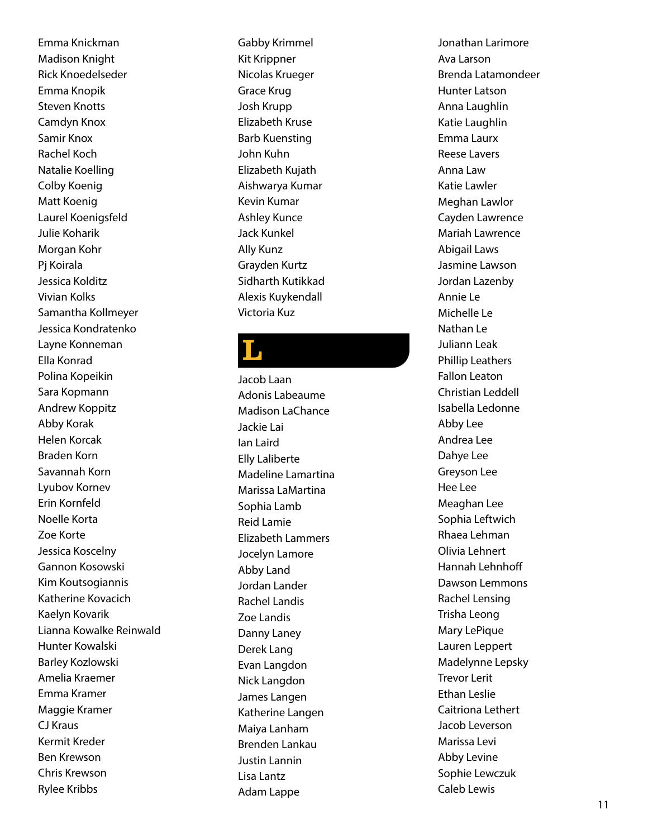Emma Knickman Madison Knight Rick Knoedelseder Emma Knopik Steven Knotts Camdyn Knox Samir Knox Rachel Koch Natalie Koelling Colby Koenig Matt Koenig Laurel Koenigsfeld Julie Koharik Morgan Kohr Pj Koirala Jessica Kolditz Vivian Kolks Samantha Kollmeyer Jessica Kondratenko Layne Konneman Ella Konrad Polina Kopeikin Sara Kopmann Andrew Koppitz Abby Korak Helen Korcak Braden Korn Savannah Korn Lyubov Kornev Erin Kornfeld Noelle Korta Zoe Korte Jessica Koscelny Gannon Kosowski Kim Koutsogiannis Katherine Kovacich Kaelyn Kovarik Lianna Kowalke Reinwald Hunter Kowalski Barley Kozlowski Amelia Kraemer Emma Kramer Maggie Kramer CJ Kraus Kermit Kreder Ben Krewson Chris Krewson Rylee Kribbs

Gabby Krimmel Kit Krippner Nicolas Krueger Grace Krug Josh Krupp Elizabeth Kruse Barb Kuensting John Kuhn Elizabeth Kujath Aishwarya Kumar Kevin Kumar Ashley Kunce Jack Kunkel Ally Kunz Grayden Kurtz Sidharth Kutikkad Alexis Kuykendall Victoria Kuz

### L

Jacob Laan Adonis Labeaume Madison LaChance Jackie Lai Ian Laird Elly Laliberte Madeline Lamartina Marissa LaMartina Sophia Lamb Reid Lamie Elizabeth Lammers Jocelyn Lamore Abby Land Jordan Lander Rachel Landis Zoe Landis Danny Laney Derek Lang Evan Langdon Nick Langdon James Langen Katherine Langen Maiya Lanham Brenden Lankau Justin Lannin Lisa Lantz Adam Lappe

Jonathan Larimore Ava Larson Brenda Latamondeer Hunter Latson Anna Laughlin Katie Laughlin Emma Laurx Reese Lavers Anna Law Katie Lawler Meghan Lawlor Cayden Lawrence Mariah Lawrence Abigail Laws Jasmine Lawson Jordan Lazenby Annie Le Michelle Le Nathan Le Juliann Leak Phillip Leathers Fallon Leaton Christian Leddell Isabella Ledonne Abby Lee Andrea Lee Dahye Lee Greyson Lee Hee Lee Meaghan Lee Sophia Leftwich Rhaea Lehman Olivia Lehnert Hannah Lehnhoff Dawson Lemmons Rachel Lensing Trisha Leong Mary LePique Lauren Leppert Madelynne Lepsky Trevor Lerit Ethan Leslie Caitriona Lethert Jacob Leverson Marissa Levi Abby Levine Sophie Lewczuk Caleb Lewis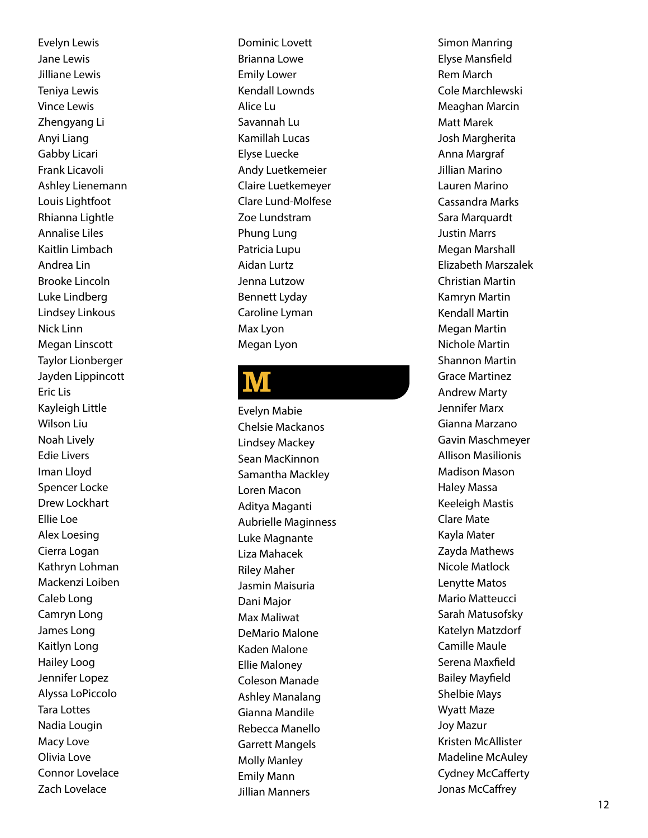Evelyn Lewis Jane Lewis Jilliane Lewis Teniya Lewis Vince Lewis Zhengyang Li Anyi Liang Gabby Licari Frank Licavoli Ashley Lienemann Louis Lightfoot Rhianna Lightle Annalise Liles Kaitlin Limbach Andrea Lin Brooke Lincoln Luke Lindberg Lindsey Linkous Nick Linn Megan Linscott Taylor Lionberger Jayden Lippincott Eric Lis Kayleigh Little Wilson Liu Noah Lively Edie Livers Iman Lloyd Spencer Locke Drew Lockhart Ellie Loe Alex Loesing Cierra Logan Kathryn Lohman Mackenzi Loiben Caleb Long Camryn Long James Long Kaitlyn Long Hailey Loog Jennifer Lopez Alyssa LoPiccolo Tara Lottes Nadia Lougin Macy Love Olivia Love Connor Lovelace Zach Lovelace

Dominic Lovett Brianna Lowe Emily Lower Kendall Lownds Alice Lu Savannah Lu Kamillah Lucas Elyse Luecke Andy Luetkemeier Claire Luetkemeyer Clare Lund-Molfese Zoe Lundstram Phung Lung Patricia Lupu Aidan Lurtz Jenna Lutzow Bennett Lyday Caroline Lyman Max Lyon Megan Lyon

### **M**

Evelyn Mabie Chelsie Mackanos Lindsey Mackey Sean MacKinnon Samantha Mackley Loren Macon Aditya Maganti Aubrielle Maginness Luke Magnante Liza Mahacek Riley Maher Jasmin Maisuria Dani Major Max Maliwat DeMario Malone Kaden Malone Ellie Maloney Coleson Manade Ashley Manalang Gianna Mandile Rebecca Manello Garrett Mangels Molly Manley Emily Mann Jillian Manners

Simon Manring Elyse Mansfield Rem March Cole Marchlewski Meaghan Marcin Matt Marek Josh Margherita Anna Margraf Jillian Marino Lauren Marino Cassandra Marks Sara Marquardt Justin Marrs Megan Marshall Elizabeth Marszalek Christian Martin Kamryn Martin Kendall Martin Megan Martin Nichole Martin Shannon Martin Grace Martinez Andrew Marty Jennifer Marx Gianna Marzano Gavin Maschmeyer Allison Masilionis Madison Mason Haley Massa Keeleigh Mastis Clare Mate Kayla Mater Zayda Mathews Nicole Matlock Lenytte Matos Mario Matteucci Sarah Matusofsky Katelyn Matzdorf Camille Maule Serena Maxfield Bailey Mayfield Shelbie Mays Wyatt Maze Joy Mazur Kristen McAllister Madeline McAuley Cydney McCafferty Jonas McCaffrey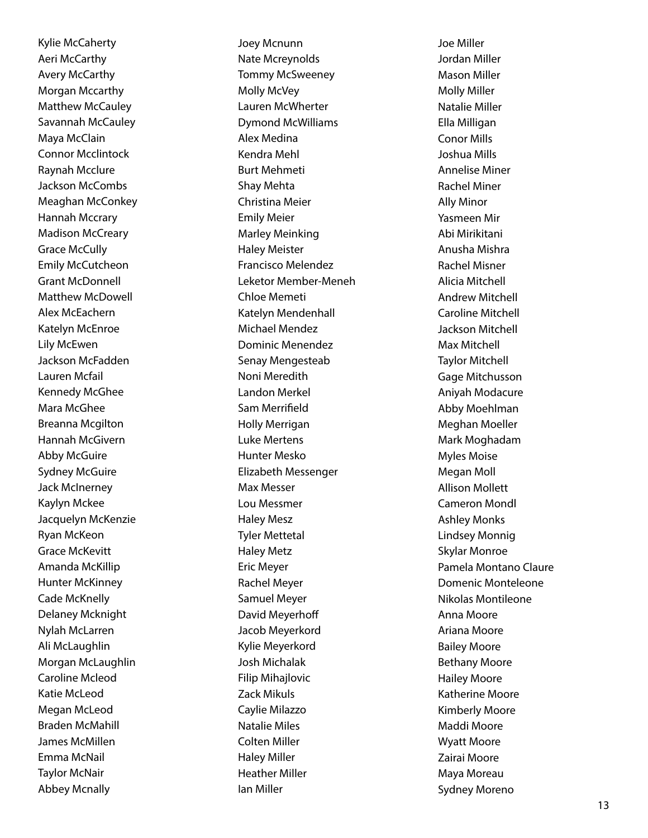Kylie McCaherty Aeri McCarthy Avery McCarthy Morgan Mccarthy Matthew McCauley Savannah McCauley Maya McClain Connor Mcclintock Raynah Mcclure Jackson McCombs Meaghan McConkey Hannah Mccrary Madison McCreary Grace McCully Emily McCutcheon Grant McDonnell Matthew McDowell Alex McEachern Katelyn McEnroe Lily McEwen Jackson McFadden Lauren Mcfail Kennedy McGhee Mara McGhee Breanna Mcgilton Hannah McGivern Abby McGuire Sydney McGuire Jack McInerney Kaylyn Mckee Jacquelyn McKenzie Ryan McKeon Grace McKevitt Amanda McKillip Hunter McKinney Cade McKnelly Delaney Mcknight Nylah McLarren Ali McLaughlin Morgan McLaughlin Caroline Mcleod Katie McLeod Megan McLeod Braden McMahill James McMillen Emma McNail Taylor McNair Abbey Mcnally

Joey Mcnunn Nate Mcreynolds Tommy McSweeney Molly McVey Lauren McWherter Dymond McWilliams Alex Medina Kendra Mehl Burt Mehmeti Shay Mehta Christina Meier Emily Meier Marley Meinking Haley Meister Francisco Melendez Leketor Member-Meneh Chloe Memeti Katelyn Mendenhall Michael Mendez Dominic Menendez Senay Mengesteab Noni Meredith Landon Merkel Sam Merrifield Holly Merrigan Luke Mertens Hunter Mesko Elizabeth Messenger Max Messer Lou Messmer Haley Mesz Tyler Mettetal Haley Metz Eric Meyer Rachel Meyer Samuel Meyer David Meyerhoff Jacob Meyerkord Kylie Meyerkord Josh Michalak Filip Mihajlovic Zack Mikuls Caylie Milazzo Natalie Miles Colten Miller Haley Miller Heather Miller Ian Miller

Joe Miller Jordan Miller Mason Miller Molly Miller Natalie Miller Ella Milligan Conor Mills Joshua Mills Annelise Miner Rachel Miner Ally Minor Yasmeen Mir Abi Mirikitani Anusha Mishra Rachel Misner Alicia Mitchell Andrew Mitchell Caroline Mitchell Jackson Mitchell Max Mitchell Taylor Mitchell Gage Mitchusson Aniyah Modacure Abby Moehlman Meghan Moeller Mark Moghadam Myles Moise Megan Moll Allison Mollett Cameron Mondl Ashley Monks Lindsey Monnig Skylar Monroe Pamela Montano Claure Domenic Monteleone Nikolas Montileone Anna Moore Ariana Moore Bailey Moore Bethany Moore Hailey Moore Katherine Moore Kimberly Moore Maddi Moore Wyatt Moore Zairai Moore Maya Moreau Sydney Moreno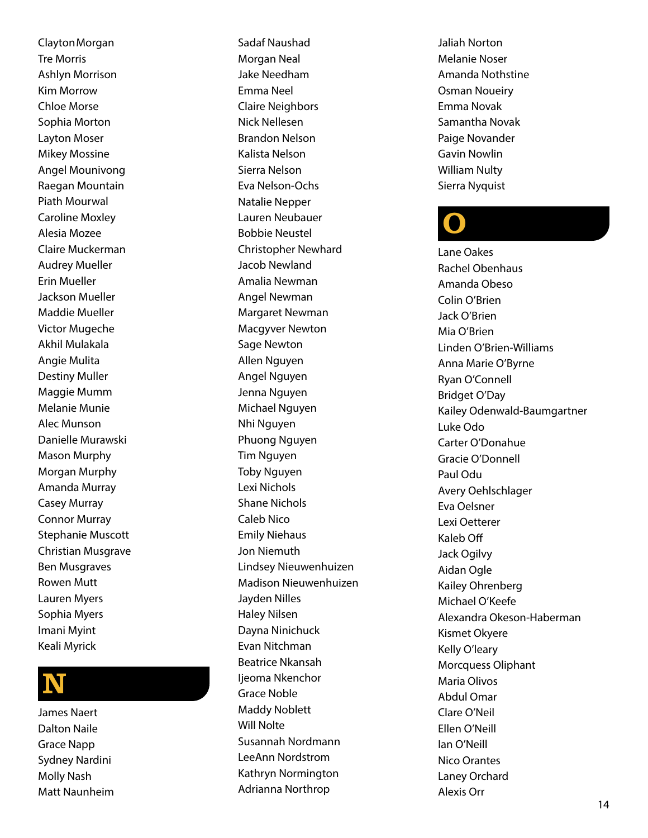ClaytonMorgan Tre Morris Ashlyn Morrison Kim Morrow Chloe Morse Sophia Morton Layton Moser Mikey Mossine Angel Mounivong Raegan Mountain Piath Mourwal Caroline Moxley Alesia Mozee Claire Muckerman Audrey Mueller Erin Mueller Jackson Mueller Maddie Mueller Victor Mugeche Akhil Mulakala Angie Mulita Destiny Muller Maggie Mumm Melanie Munie Alec Munson Danielle Murawski Mason Murphy Morgan Murphy Amanda Murray Casey Murray Connor Murray Stephanie Muscott Christian Musgrave Ben Musgraves Rowen Mutt Lauren Myers Sophia Myers Imani Myint Keali Myrick

### N

James Naert Dalton Naile Grace Napp Sydney Nardini Molly Nash Matt Naunheim Sadaf Naushad Morgan Neal Jake Needham Emma Neel Claire Neighbors Nick Nellesen Brandon Nelson Kalista Nelson Sierra Nelson Eva Nelson-Ochs Natalie Nepper Lauren Neubauer Bobbie Neustel Christopher Newhard Jacob Newland Amalia Newman Angel Newman Margaret Newman Macgyver Newton Sage Newton Allen Nguyen Angel Nguyen Jenna Nguyen Michael Nguyen Nhi Nguyen Phuong Nguyen Tim Nguyen Toby Nguyen Lexi Nichols Shane Nichols Caleb Nico Emily Niehaus Jon Niemuth Lindsey Nieuwenhuizen Madison Nieuwenhuizen Jayden Nilles Haley Nilsen Dayna Ninichuck Evan Nitchman Beatrice Nkansah lieoma Nkenchor Grace Noble Maddy Noblett Will Nolte Susannah Nordmann LeeAnn Nordstrom Kathryn Normington Adrianna Northrop

Jaliah Norton Melanie Noser Amanda Nothstine Osman Noueiry Emma Novak Samantha Novak Paige Novander Gavin Nowlin William Nulty Sierra Nyquist

### O

Lane Oakes Rachel Obenhaus Amanda Obeso Colin O'Brien Jack O'Brien Mia O'Brien Linden O'Brien-Williams Anna Marie O'Byrne Ryan O'Connell Bridget O'Day Kailey Odenwald-Baumgartner Luke Odo Carter O'Donahue Gracie O'Donnell Paul Odu Avery Oehlschlager Eva Oelsner Lexi Oetterer Kaleb Off Jack Ogilvy Aidan Ogle Kailey Ohrenberg Michael O'Keefe Alexandra Okeson-Haberman Kismet Okyere Kelly O'leary Morcquess Oliphant Maria Olivos Abdul Omar Clare O'Neil Ellen O'Neill Ian O'Neill Nico Orantes Laney Orchard Alexis Orr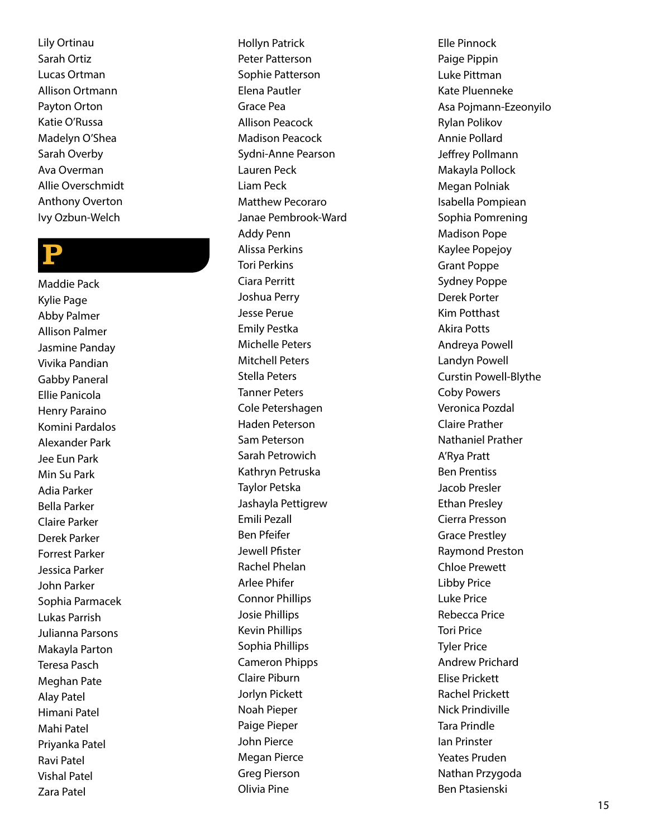Lily Ortinau Sarah Ortiz Lucas Ortman Allison Ortmann Payton Orton Katie O'Russa Madelyn O'Shea Sarah Overby Ava Overman Allie Overschmidt Anthony Overton Ivy Ozbun-Welch

### P

Maddie Pack Kylie Page Abby Palmer Allison Palmer Jasmine Panday Vivika Pandian Gabby Paneral Ellie Panicola Henry Paraino Komini Pardalos Alexander Park Jee Eun Park Min Su Park Adia Parker Bella Parker Claire Parker Derek Parker Forrest Parker Jessica Parker John Parker Sophia Parmacek Lukas Parrish Julianna Parsons Makayla Parton Teresa Pasch Meghan Pate Alay Patel Himani Patel Mahi Patel Priyanka Patel Ravi Patel Vishal Patel Zara Patel

Hollyn Patrick Peter Patterson Sophie Patterson Elena Pautler Grace Pea Allison Peacock Madison Peacock Sydni-Anne Pearson Lauren Peck Liam Peck Matthew Pecoraro Janae Pembrook-Ward Addy Penn Alissa Perkins Tori Perkins Ciara Perritt Joshua Perry Jesse Perue Emily Pestka Michelle Peters Mitchell Peters Stella Peters Tanner Peters Cole Petershagen Haden Peterson Sam Peterson Sarah Petrowich Kathryn Petruska Taylor Petska Jashayla Pettigrew Emili Pezall Ben Pfeifer Jewell Pfister Rachel Phelan Arlee Phifer Connor Phillips Josie Phillips Kevin Phillips Sophia Phillips Cameron Phipps Claire Piburn Jorlyn Pickett Noah Pieper Paige Pieper John Pierce Megan Pierce Greg Pierson Olivia Pine

Elle Pinnock Paige Pippin Luke Pittman Kate Pluenneke Asa Pojmann-Ezeonyilo Rylan Polikov Annie Pollard Jeffrey Pollmann Makayla Pollock Megan Polniak Isabella Pompiean Sophia Pomrening Madison Pope Kaylee Popejoy Grant Poppe Sydney Poppe Derek Porter Kim Potthast Akira Potts Andreya Powell Landyn Powell Curstin Powell-Blythe Coby Powers Veronica Pozdal Claire Prather Nathaniel Prather A'Rya Pratt Ben Prentiss Jacob Presler Ethan Presley Cierra Presson Grace Prestley Raymond Preston Chloe Prewett Libby Price Luke Price Rebecca Price Tori Price Tyler Price Andrew Prichard Elise Prickett Rachel Prickett Nick Prindiville Tara Prindle Ian Prinster Yeates Pruden Nathan Przygoda Ben Ptasienski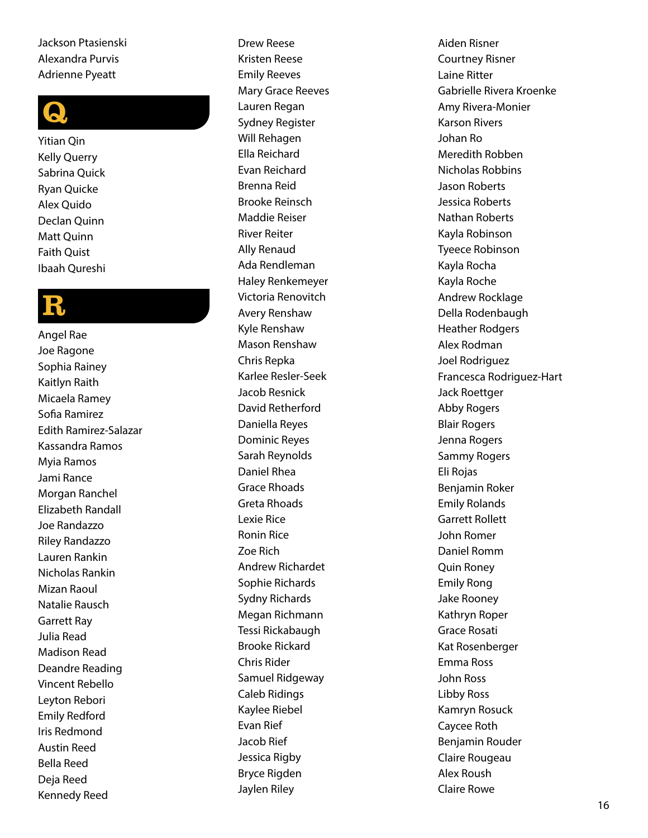#### Jackson Ptasienski Alexandra Purvis Adrienne Pyeatt



Yitian Qin Kelly Querry Sabrina Quick Ryan Quicke Alex Quido Declan Quinn Matt Quinn Faith Quist Ibaah Qureshi

### R

Angel Rae Joe Ragone Sophia Rainey Kaitlyn Raith Micaela Ramey Sofia Ramirez Edith Ramirez-Salazar Kassandra Ramos Myia Ramos Jami Rance Morgan Ranchel Elizabeth Randall Joe Randazzo Riley Randazzo Lauren Rankin Nicholas Rankin Mizan Raoul Natalie Rausch Garrett Ray Julia Read Madison Read Deandre Reading Vincent Rebello Leyton Rebori Emily Redford Iris Redmond Austin Reed Bella Reed Deja Reed Kennedy Reed

Drew Reese Kristen Reese Emily Reeves Mary Grace Reeves Lauren Regan Sydney Register Will Rehagen Ella Reichard Evan Reichard Brenna Reid Brooke Reinsch Maddie Reiser River Reiter Ally Renaud Ada Rendleman Haley Renkemeyer Victoria Renovitch Avery Renshaw Kyle Renshaw Mason Renshaw Chris Repka Karlee Resler-Seek Jacob Resnick David Retherford Daniella Reyes Dominic Reyes Sarah Reynolds Daniel Rhea Grace Rhoads Greta Rhoads Lexie Rice Ronin Rice Zoe Rich Andrew Richardet Sophie Richards Sydny Richards Megan Richmann Tessi Rickabaugh Brooke Rickard Chris Rider Samuel Ridgeway Caleb Ridings Kaylee Riebel Evan Rief Jacob Rief Jessica Rigby Bryce Rigden Jaylen Riley

Aiden Risner Courtney Risner Laine Ritter Gabrielle Rivera Kroenke Amy Rivera-Monier Karson Rivers Johan Ro Meredith Robben Nicholas Robbins Jason Roberts Jessica Roberts Nathan Roberts Kayla Robinson Tyeece Robinson Kayla Rocha Kayla Roche Andrew Rocklage Della Rodenbaugh Heather Rodgers Alex Rodman Joel Rodriguez Francesca Rodriguez-Hart Jack Roettger Abby Rogers Blair Rogers Jenna Rogers Sammy Rogers Eli Rojas Benjamin Roker Emily Rolands Garrett Rollett John Romer Daniel Romm Quin Roney Emily Rong Jake Rooney Kathryn Roper Grace Rosati Kat Rosenberger Emma Ross John Ross Libby Ross Kamryn Rosuck Caycee Roth Benjamin Rouder Claire Rougeau Alex Roush Claire Rowe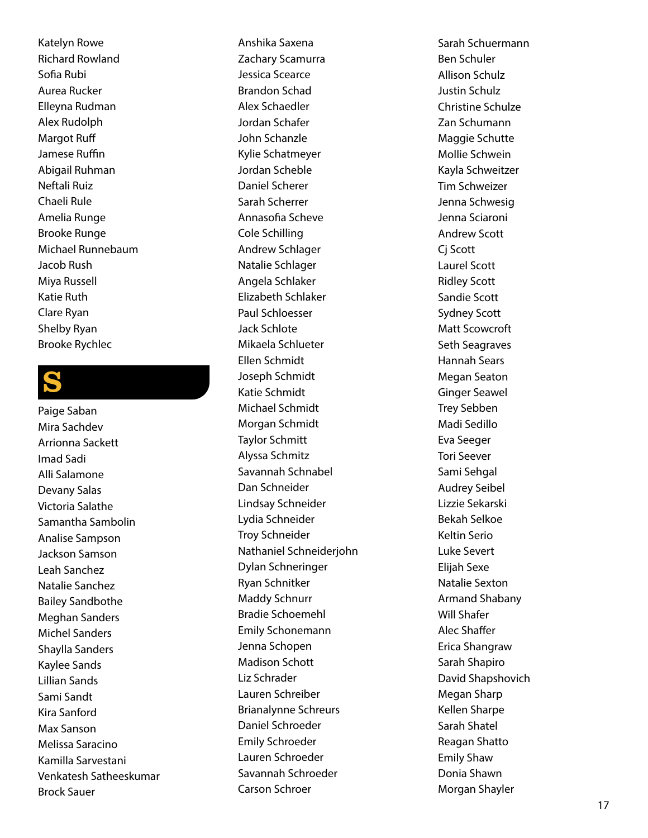Katelyn Rowe Richard Rowland Sofia Rubi Aurea Rucker Elleyna Rudman Alex Rudolph Margot Ruff Jamese Ruffin Abigail Ruhman Neftali Ruiz Chaeli Rule Amelia Runge Brooke Runge Michael Runnebaum Jacob Rush Miya Russell Katie Ruth Clare Ryan Shelby Ryan Brooke Rychlec

### S

Paige Saban Mira Sachdev Arrionna Sackett Imad Sadi Alli Salamone Devany Salas Victoria Salathe Samantha Sambolin Analise Sampson Jackson Samson Leah Sanchez Natalie Sanchez Bailey Sandbothe Meghan Sanders Michel Sanders Shaylla Sanders Kaylee Sands Lillian Sands Sami Sandt Kira Sanford Max Sanson Melissa Saracino Kamilla Sarvestani Venkatesh Satheeskumar Brock Sauer

Anshika Saxena Zachary Scamurra Jessica Scearce Brandon Schad Alex Schaedler Jordan Schafer John Schanzle Kylie Schatmeyer Jordan Scheble Daniel Scherer Sarah Scherrer Annasofia Scheve Cole Schilling Andrew Schlager Natalie Schlager Angela Schlaker Elizabeth Schlaker Paul Schloesser Jack Schlote Mikaela Schlueter Ellen Schmidt Joseph Schmidt Katie Schmidt Michael Schmidt Morgan Schmidt Taylor Schmitt Alyssa Schmitz Savannah Schnabel Dan Schneider Lindsay Schneider Lydia Schneider Troy Schneider Nathaniel Schneiderjohn Dylan Schneringer Ryan Schnitker Maddy Schnurr Bradie Schoemehl Emily Schonemann Jenna Schopen Madison Schott Liz Schrader Lauren Schreiber Brianalynne Schreurs Daniel Schroeder Emily Schroeder Lauren Schroeder Savannah Schroeder Carson Schroer

Sarah Schuermann Ben Schuler Allison Schulz Justin Schulz Christine Schulze Zan Schumann Maggie Schutte Mollie Schwein Kayla Schweitzer Tim Schweizer Jenna Schwesig Jenna Sciaroni Andrew Scott Cj Scott Laurel Scott Ridley Scott Sandie Scott Sydney Scott Matt Scowcroft Seth Seagraves Hannah Sears Megan Seaton Ginger Seawel Trey Sebben Madi Sedillo Eva Seeger Tori Seever Sami Sehgal Audrey Seibel Lizzie Sekarski Bekah Selkoe Keltin Serio Luke Severt Elijah Sexe Natalie Sexton Armand Shabany Will Shafer Alec Shaffer Erica Shangraw Sarah Shapiro David Shapshovich Megan Sharp Kellen Sharpe Sarah Shatel Reagan Shatto Emily Shaw Donia Shawn Morgan Shayler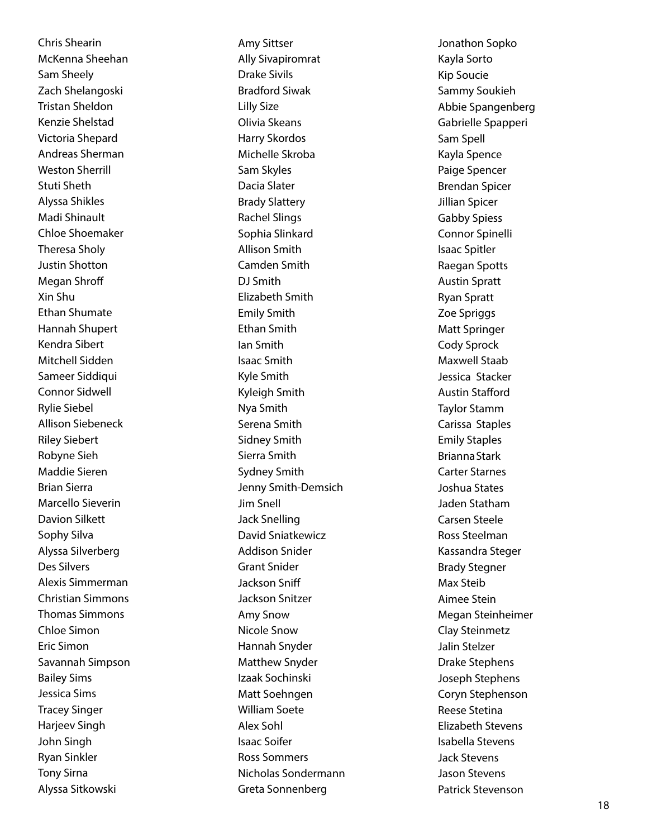Chris Shearin McKenna Sheehan Sam Sheely Zach Shelangoski Tristan Sheldon Kenzie Shelstad Victoria Shepard Andreas Sherman Weston Sherrill Stuti Sheth Alyssa Shikles Madi Shinault Chloe Shoemaker Theresa Sholy Justin Shotton Megan Shroff Xin Shu Ethan Shumate Hannah Shupert Kendra Sibert Mitchell Sidden Sameer Siddiqui Connor Sidwell Rylie Siebel Allison Siebeneck Riley Siebert Robyne Sieh Maddie Sieren Brian Sierra Marcello Sieverin Davion Silkett Sophy Silva Alyssa Silverberg Des Silvers Alexis Simmerman Christian Simmons Thomas Simmons Chloe Simon Eric Simon Savannah Simpson Bailey Sims Jessica Sims Tracey Singer Harjeev Singh John Singh Ryan Sinkler Tony Sirna Alyssa Sitkowski

Amy Sittser Ally Sivapiromrat Drake Sivils Bradford Siwak Lilly Size Olivia Skeans Harry Skordos Michelle Skroba Sam Skyles Dacia Slater Brady Slattery Rachel Slings Sophia Slinkard Allison Smith Camden Smith DJ Smith Elizabeth Smith Emily Smith Ethan Smith Ian Smith Isaac Smith Kyle Smith Kyleigh Smith Nya Smith Serena Smith Sidney Smith Sierra Smith Sydney Smith Jenny Smith-Demsich Jim Snell Jack Snelling David Sniatkewicz Addison Snider Grant Snider Jackson Sniff Jackson Snitzer Amy Snow Nicole Snow Hannah Snyder Matthew Snyder Izaak Sochinski Matt Soehngen William Soete Alex Sohl Isaac Soifer Ross Sommers Nicholas Sondermann Greta Sonnenberg

Jonathon Sopko Kayla Sorto Kip Soucie Sammy Soukieh Abbie Spangenberg Gabrielle Spapperi Sam Spell Kayla Spence Paige Spencer Brendan Spicer Jillian Spicer Gabby Spiess Connor Spinelli Isaac Spitler Raegan Spotts Austin Spratt Ryan Spratt Zoe Spriggs Matt Springer Cody Sprock Maxwell Staab Jessica Stacker Austin Stafford Taylor Stamm Carissa Staples Emily Staples BriannaStark Carter Starnes Joshua States Jaden Statham Carsen Steele Ross Steelman Kassandra Steger Brady Stegner Max Steib Aimee Stein Megan Steinheimer Clay Steinmetz Jalin Stelzer Drake Stephens Joseph Stephens Coryn Stephenson Reese Stetina Elizabeth Stevens Isabella Stevens Jack Stevens Jason Stevens Patrick Stevenson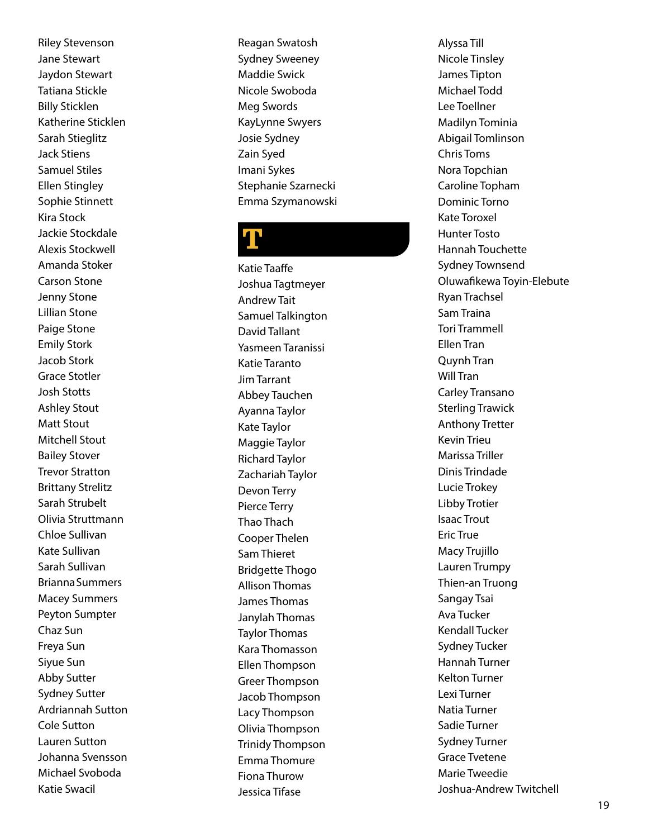Riley Stevenson Jane Stewart Jaydon Stewart Tatiana Stickle Billy Sticklen Katherine Sticklen Sarah Stieglitz Jack Stiens Samuel Stiles Ellen Stingley Sophie Stinnett Kira Stock Jackie Stockdale Alexis Stockwell Amanda Stoker Carson Stone Jenny Stone Lillian Stone Paige Stone Emily Stork Jacob Stork Grace Stotler Josh Stotts Ashley Stout Matt Stout Mitchell Stout Bailey Stover Trevor Stratton Brittany Strelitz Sarah Strubelt Olivia Struttmann Chloe Sullivan Kate Sullivan Sarah Sullivan BriannaSummers Macey Summers Peyton Sumpter Chaz Sun Freya Sun Siyue Sun Abby Sutter Sydney Sutter Ardriannah Sutton Cole Sutton Lauren Sutton Johanna Svensson Michael Svoboda Katie Swacil

Reagan Swatosh Sydney Sweeney Maddie Swick Nicole Swoboda Meg Swords KayLynne Swyers Josie Sydney Zain Syed Imani Sykes Stephanie Szarnecki Emma Szymanowski

### T

Katie Taaffe Joshua Tagtmeyer Andrew Tait Samuel Talkington David Tallant Yasmeen Taranissi Katie Taranto Jim Tarrant Abbey Tauchen Ayanna Taylor Kate Taylor Maggie Taylor Richard Taylor Zachariah Taylor Devon Terry Pierce Terry Thao Thach Cooper Thelen Sam Thieret Bridgette Thogo Allison Thomas James Thomas Janylah Thomas Taylor Thomas Kara Thomasson Ellen Thompson Greer Thompson Jacob Thompson Lacy Thompson Olivia Thompson Trinidy Thompson Emma Thomure Fiona Thurow Jessica Tifase

Alyssa Till Nicole Tinsley James Tipton Michael Todd Lee Toellner Madilyn Tominia Abigail Tomlinson Chris Toms Nora Topchian Caroline Topham Dominic Torno Kate Toroxel Hunter Tosto Hannah Touchette Sydney Townsend Oluwafikewa Toyin-Elebute Ryan Trachsel Sam Traina Tori Trammell Ellen Tran Quynh Tran Will Tran Carley Transano Sterling Trawick Anthony Tretter Kevin Trieu Marissa Triller Dinis Trindade Lucie Trokey Libby Trotier Isaac Trout Eric True Macy Trujillo Lauren Trumpy Thien-an Truong Sangay Tsai Ava Tucker Kendall Tucker Sydney Tucker Hannah Turner Kelton Turner Lexi Turner Natia Turner Sadie Turner Sydney Turner Grace Tvetene Marie Tweedie Joshua-Andrew Twitchell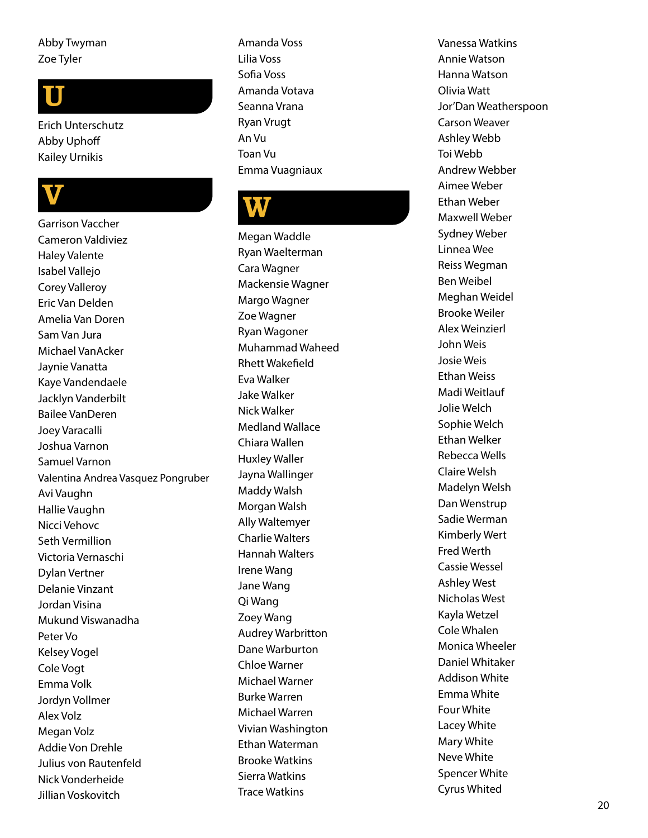#### Abby Twyman Zoe Tyler

## U

Erich Unterschutz Abby Uphoff Kailey Urnikis

## V

Garrison Vaccher Cameron Valdiviez Haley Valente Isabel Vallejo Corey Valleroy Eric Van Delden Amelia Van Doren Sam Van Jura Michael VanAcker Jaynie Vanatta Kaye Vandendaele Jacklyn Vanderbilt Bailee VanDeren Joey Varacalli Joshua Varnon Samuel Varnon Valentina Andrea Vasquez Pongruber Avi Vaughn Hallie Vaughn Nicci Vehovc Seth Vermillion Victoria Vernaschi Dylan Vertner Delanie Vinzant Jordan Visina Mukund Viswanadha Peter Vo Kelsey Vogel Cole Vogt Emma Volk Jordyn Vollmer Alex Volz Megan Volz Addie Von Drehle Julius von Rautenfeld Nick Vonderheide Jillian Voskovitch

Amanda Voss Lilia Voss Sofia Voss Amanda Votava Seanna Vrana Ryan Vrugt An Vu Toan Vu Emma Vuagniaux

### **W**

Megan Waddle Ryan Waelterman Cara Wagner Mackensie Wagner Margo Wagner Zoe Wagner Ryan Wagoner Muhammad Waheed Rhett Wakefield Eva Walker Jake Walker Nick Walker Medland Wallace Chiara Wallen Huxley Waller Jayna Wallinger Maddy Walsh Morgan Walsh Ally Waltemyer Charlie Walters Hannah Walters Irene Wang Jane Wang Qi Wang Zoey Wang Audrey Warbritton Dane Warburton Chloe Warner Michael Warner Burke Warren Michael Warren Vivian Washington Ethan Waterman Brooke Watkins Sierra Watkins Trace Watkins

Vanessa Watkins Annie Watson Hanna Watson Olivia Watt Jor'Dan Weatherspoon Carson Weaver Ashley Webb Toi Webb Andrew Webber Aimee Weber Ethan Weber Maxwell Weber Sydney Weber Linnea Wee Reiss Wegman Ben Weibel Meghan Weidel Brooke Weiler Alex Weinzierl John Weis Josie Weis Ethan Weiss Madi Weitlauf Jolie Welch Sophie Welch Ethan Welker Rebecca Wells Claire Welsh Madelyn Welsh Dan Wenstrup Sadie Werman Kimberly Wert Fred Werth Cassie Wessel Ashley West Nicholas West Kayla Wetzel Cole Whalen Monica Wheeler Daniel Whitaker Addison White Emma White Four White Lacey White Mary White Neve White Spencer White Cyrus Whited